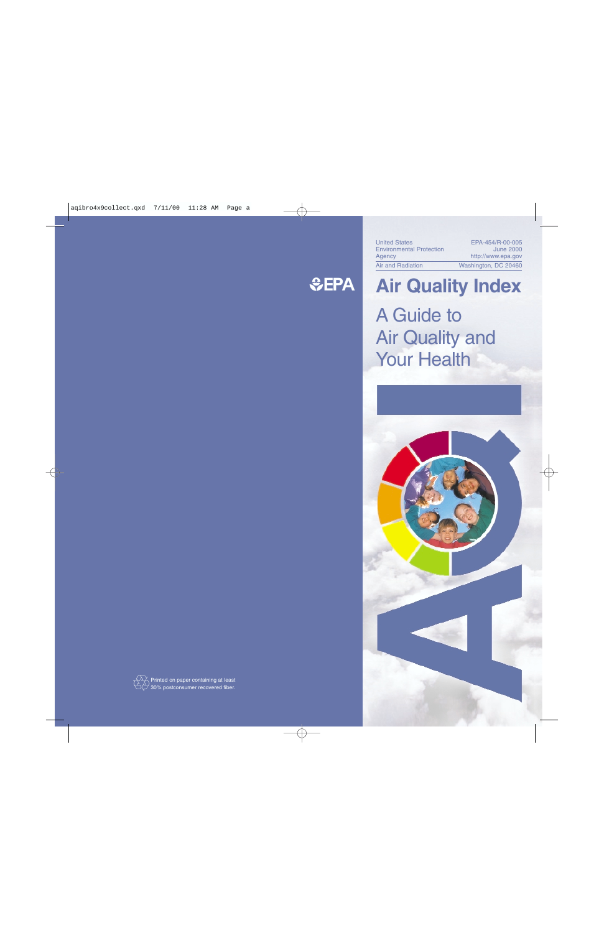| <b>United States</b>            |
|---------------------------------|
| <b>Environmental Protection</b> |
| Agency                          |
| Air and Radiation               |

# **Air Quality Index** A Guide to Air Quality and



# **SEPA**

 $\breve{\wedge}$  Printed on paper containing at least 30% postconsumer recovered fiber.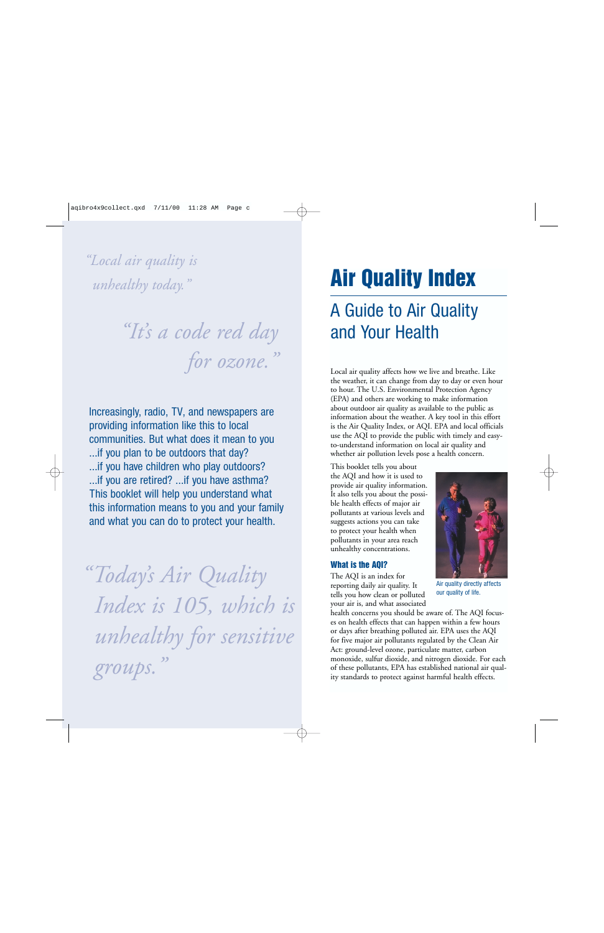*"Local air quality is unhealthy today."*

*"It's a code red day for ozone."*

Increasingly, radio, TV, and newspapers are providing information like this to local communities. But what does it mean to you ...if you plan to be outdoors that day? ...if you have children who play outdoors? ...if you are retired? ...if you have asthma? This booklet will help you understand what this information means to you and your family and what you can do to protect your health.

*"Today's Air Quality Index is 105, which is unhealthy for sensitive groups."*

# Air Quality Index

# A Guide to Air Quality and Your Health

Local air quality affects how we live and breathe. Like the weather, it can change from day to day or even hour to hour. The U.S. Environmental Protection Agency (EPA) and others are working to make information about outdoor air quality as available to the public as information about the weather. A key tool in this effort is the Air Quality Index, or AQI. EPA and local officials use the AQI to provide the public with timely and easyto-understand information on local air quality and whether air pollution levels pose a health concern.

This booklet tells you about the AQI and how it is used to provide air quality information. It also tells you about the possible health effects of major air pollutants at various levels and suggests actions you can take to protect your health when pollutants in your area reach unhealthy concentrations.

## What is the AQI?

The AQI is an index for reporting daily air quality. It tells you how clean or polluted your air is, and what associated



Air quality directly affects our quality of life.

health concerns you should be aware of. The AQI focuses on health effects that can happen within a few hours or days after breathing polluted air. EPA uses the AQI for five major air pollutants regulated by the Clean Air Act: ground-level ozone, particulate matter, carbon monoxide, sulfur dioxide, and nitrogen dioxide. For each of these pollutants, EPA has established national air quality standards to protect against harmful health effects.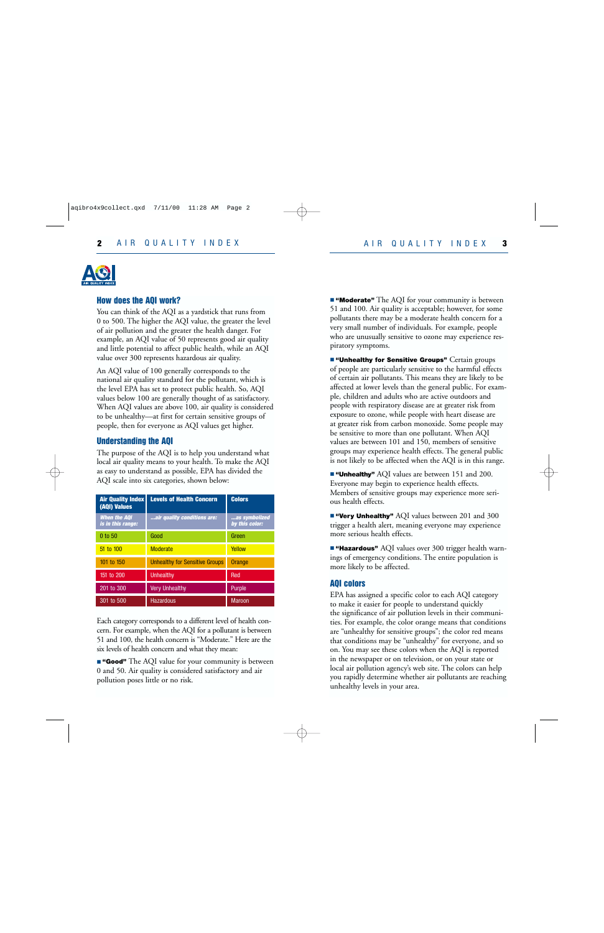

#### How does the AQI work?

You can think of the AQI as a yardstick that runs from 0 to 500. The higher the AQI value, the greater the level of air pollution and the greater the health danger. For example, an AQI value of 50 represents good air quality and little potential to affect public health, while an AQI value over 300 represents hazardous air quality.

An AQI value of 100 generally corresponds to the national air quality standard for the pollutant, which is the level EPA has set to protect public health. So, AQI values below 100 are generally thought of as satisfactory. When AQI values are above 100, air quality is considered to be unhealthy—at first for certain sensitive groups of people, then for everyone as AQI values get higher.

#### Understanding the AQI

The purpose of the AQI is to help you understand what local air quality means to your health. To make the AQI as easy to understand as possible, EPA has divided the AQI scale into six categories, shown below:

| <b>Air Quality Index</b><br>(AQI) Values        | <b>Levels of Health Concern</b>       | <b>Colors</b>                   |
|-------------------------------------------------|---------------------------------------|---------------------------------|
| <b>When the AQI</b><br><i>is in this range:</i> | air quality conditions are:           | as symbolized<br>by this color: |
| $0$ to 50                                       | Good                                  | Green                           |
| $51$ to $100$                                   | <b>Moderate</b>                       | Yellow                          |
| 101 to 150                                      | <b>Unhealthy for Sensitive Groups</b> | Orange                          |
| 151 to 200                                      | <b>Unhealthy</b>                      | Red                             |
| 201 to 300                                      | <b>Very Unhealthy</b>                 | Purple                          |
| 301 to 500                                      | Hazardous                             | <b>Maroon</b>                   |

Each category corresponds to a different level of health concern. For example, when the AQI for a pollutant is between 51 and 100, the health concern is "Moderate." Here are the six levels of health concern and what they mean:

■ "Good" The AQI value for your community is between 0 and 50. Air quality is considered satisfactory and air pollution poses little or no risk.

■ "Moderate" The AQI for your community is between 51 and 100. Air quality is acceptable; however, for some pollutants there may be a moderate health concern for a very small number of individuals. For example, people who are unusually sensitive to ozone may experience respiratory symptoms.

■ "Unhealthy for Sensitive Groups" Certain groups of people are particularly sensitive to the harmful effects of certain air pollutants. This means they are likely to be affected at lower levels than the general public. For example, children and adults who are active outdoors and people with respiratory disease are at greater risk from exposure to ozone, while people with heart disease are at greater risk from carbon monoxide. Some people may be sensitive to more than one pollutant. When AQI values are between 101 and 150, members of sensitive groups may experience health effects. The general public is not likely to be affected when the AQI is in this range.

■ **"Unhealthy"** AQI values are between 151 and 200. Everyone may begin to experience health effects. Members of sensitive groups may experience more serious health effects.

■ "Very Unhealthy" AQI values between 201 and 300 trigger a health alert, meaning everyone may experience more serious health effects.

■ "Hazardous" AQI values over 300 trigger health warnings of emergency conditions. The entire population is more likely to be affected.

#### AQI colors

EPA has assigned a specific color to each AQI category to make it easier for people to understand quickly the significance of air pollution levels in their communities. For example, the color orange means that conditions are "unhealthy for sensitive groups"; the color red means that conditions may be "unhealthy" for everyone, and so on. You may see these colors when the AQI is reported in the newspaper or on television, or on your state or local air pollution agency's web site. The colors can help you rapidly determine whether air pollutants are reaching unhealthy levels in your area.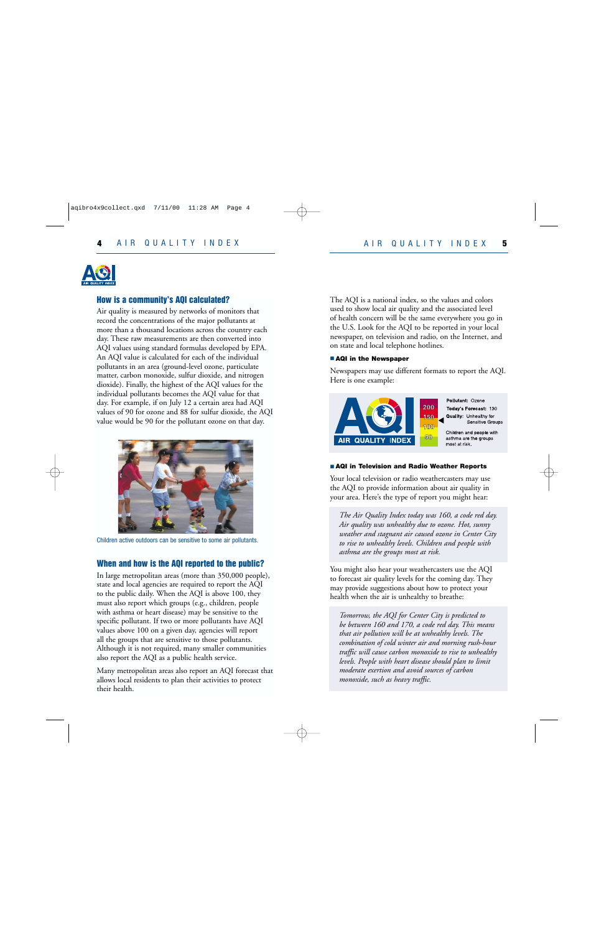

#### How is a community's AQI calculated?

Air quality is measured by networks of monitors that record the concentrations of the major pollutants at more than a thousand locations across the country each day. These raw measurements are then converted into AQI values using standard formulas developed by EPA. An AQI value is calculated for each of the individual pollutants in an area (ground-level ozone, particulate matter, carbon monoxide, sulfur dioxide, and nitrogen dioxide). Finally, the highest of the AQI values for the individual pollutants becomes the AQI value for that day. For example, if on July 12 a certain area had AQI values of 90 for ozone and 88 for sulfur dioxide, the AQI value would be 90 for the pollutant ozone on that day.



Children active outdoors can be sensitive to some air pollutants.

#### When and how is the AQI reported to the public?

In large metropolitan areas (more than 350,000 people), state and local agencies are required to report the AQI to the public daily. When the AQI is above 100, they must also report which groups (e.g., children, people with asthma or heart disease) may be sensitive to the specific pollutant. If two or more pollutants have AQI values above 100 on a given day, agencies will report all the groups that are sensitive to those pollutants. Although it is not required, many smaller communities also report the AQI as a public health service.

Many metropolitan areas also report an AQI forecast that allows local residents to plan their activities to protect their health.

The AQI is a national index, so the values and colors used to show local air quality and the associated level of health concern will be the same everywhere you go in the U.S. Look for the AQI to be reported in your local newspaper, on television and radio, on the Internet, and on state and local telephone hotlines.

#### ■ AQI in the Newspaper

Newspapers may use different formats to report the AQI. Here is one example:



Pollutant: Ozone Today's Forecast: 130 Quality: Unhealthy for Sensitive Groups Children and people with

asthma are the groups most at risk.

#### ■ AQI in Television and Radio Weather Reports

Your local television or radio weathercasters may use the AQI to provide information about air quality in your area. Here's the type of report you might hear:

*The Air Quality Index today was 160, a code red day. Air quality was unhealthy due to ozone. Hot, sunny weather and stagnant air caused ozone in Center City to rise to unhealthy levels. Children and people with asthma are the groups most at risk.*

You might also hear your weathercasters use the AQI to forecast air quality levels for the coming day. They may provide suggestions about how to protect your health when the air is unhealthy to breathe:

*Tomorrow, the AQI for Center City is predicted to be between 160 and 170, a code red day. This means that air pollution will be at unhealthy levels. The combination of cold winter air and morning rush-hour traffic will cause carbon monoxide to rise to unhealthy levels. People with heart disease should plan to limit moderate exertion and avoid sources of carbon monoxide, such as heavy traffic.*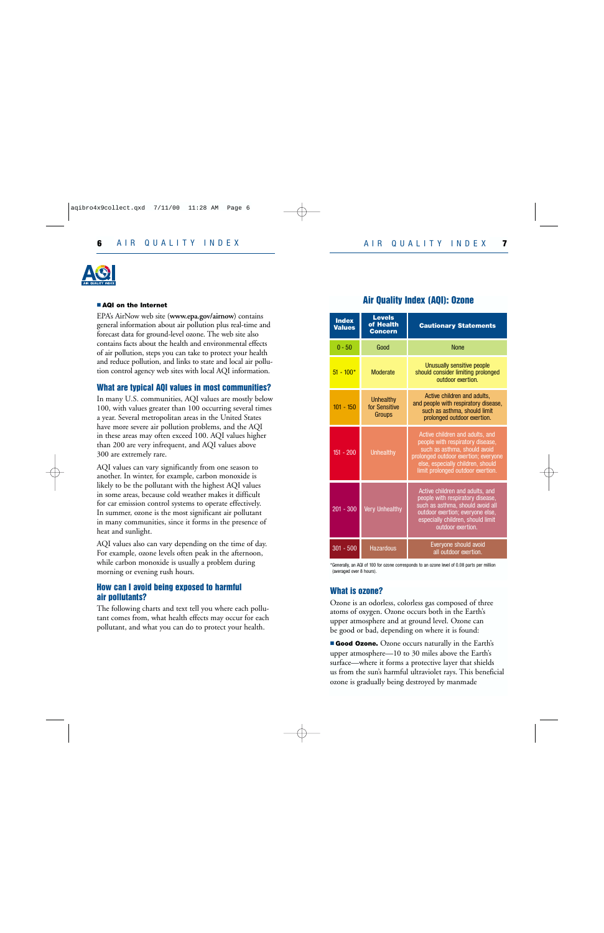

#### ■ AQI on the Internet

EPA's AirNow web site (**www.epa.gov/airnow**) contains general information about air pollution plus real-time and forecast data for ground-level ozone. The web site also contains facts about the health and environmental effects of air pollution, steps you can take to protect your health and reduce pollution, and links to state and local air pollution control agency web sites with local AQI information.

#### What are typical AQI values in most communities?

In many U.S. communities, AQI values are mostly below 100, with values greater than 100 occurring several times a year. Several metropolitan areas in the United States have more severe air pollution problems, and the AQI in these areas may often exceed 100. AQI values higher than 200 are very infrequent, and AQI values above 300 are extremely rare.

AQI values can vary significantly from one season to another. In winter, for example, carbon monoxide is likely to be the pollutant with the highest AQI values in some areas, because cold weather makes it difficult for car emission control systems to operate effectively. In summer, ozone is the most significant air pollutant in many communities, since it forms in the presence of heat and sunlight.

AQI values also can vary depending on the time of day. For example, ozone levels often peak in the afternoon, while carbon monoxide is usually a problem during morning or evening rush hours.

#### How can I avoid being exposed to harmful air pollutants?

The following charts and text tell you where each pollutant comes from, what health effects may occur for each pollutant, and what you can do to protect your health.

### Air Quality Index (AQI): Ozone

| <b>Index</b><br><b>Values</b> | <b>Levels</b><br>of Health<br><b>Concern</b> | <b>Cautionary Statements</b>                                                                                                                                                                                          |
|-------------------------------|----------------------------------------------|-----------------------------------------------------------------------------------------------------------------------------------------------------------------------------------------------------------------------|
| $0 - 50$                      | Good                                         | <b>None</b>                                                                                                                                                                                                           |
| $51 - 100*$                   | <b>Moderate</b>                              | Unusually sensitive people<br>should consider limiting prolonged<br>outdoor exertion.                                                                                                                                 |
| $101 - 150$                   | <b>Unhealthy</b><br>for Sensitive<br>Groups  | Active children and adults,<br>and people with respiratory disease,<br>such as asthma, should limit<br>prolonged outdoor exertion.                                                                                    |
| $151 - 200$                   | <b>Unhealthy</b>                             | Active children and adults, and<br>people with respiratory disease,<br>such as asthma, should avoid<br>prolonged outdoor exertion; everyone<br>else, especially children, should<br>limit prolonged outdoor exertion. |
| $201 - 300$                   | <b>Very Unhealthy</b>                        | Active children and adults, and<br>people with respiratory disease,<br>such as asthma, should avoid all<br>outdoor exertion; everyone else,<br>especially children, should limit<br>outdoor exertion.                 |
| $301 - 500$                   | <b>Hazardous</b>                             | Everyone should avoid<br>all outdoor exertion.                                                                                                                                                                        |

\*Generally, an AQI of 100 for ozone corresponds to an ozone level of 0.08 parts per million (averaged over 8 hours).

### What is ozone?

Ozone is an odorless, colorless gas composed of three atoms of oxygen. Ozone occurs both in the Earth's upper atmosphere and at ground level. Ozone can be good or bad, depending on where it is found:

■ Good Ozone. Ozone occurs naturally in the Earth's upper atmosphere—10 to 30 miles above the Earth's surface—where it forms a protective layer that shields us from the sun's harmful ultraviolet rays. This beneficial ozone is gradually being destroyed by manmade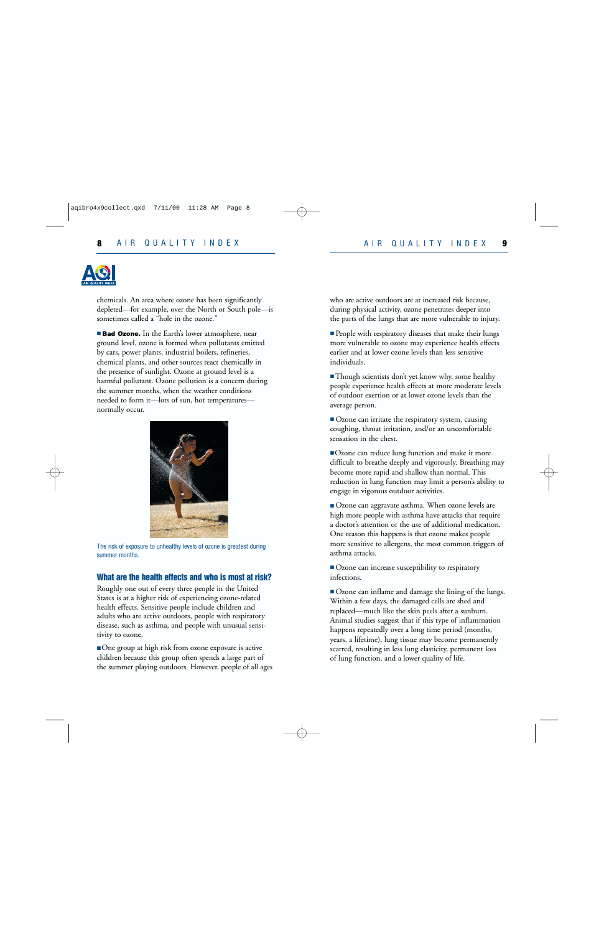

chemicals. An area where ozone has been significantly depleted—for example, over the North or South pole—is sometimes called a "hole in the ozone."

■ Bad Ozone. In the Earth's lower atmosphere, near ground level, ozone is formed when pollutants emitted by cars, power plants, industrial boilers, refineries, chemical plants, and other sources react chemically in the presence of sunlight. Ozone at ground level is a harmful pollutant. Ozone pollution is a concern during the summer months, when the weather conditions needed to form it—lots of sun, hot temperatures normally occur.



The risk of exposure to unhealthy levels of ozone is greatest during summer months.

#### What are the health effects and who is most at risk?

Roughly one out of every three people in the United States is at a higher risk of experiencing ozone-related health effects. Sensitive people include children and adults who are active outdoors, people with respiratory disease, such as asthma, and people with unusual sensitivity to ozone.

■ One group at high risk from ozone exposure is active children because this group often spends a large part of the summer playing outdoors. However, people of all ages who are active outdoors are at increased risk because, during physical activity, ozone penetrates deeper into the parts of the lungs that are more vulnerable to injury.

- People with respiratory diseases that make their lungs more vulnerable to ozone may experience health effects earlier and at lower ozone levels than less sensitive individuals.
- Though scientists don't yet know why, some healthy people experience health effects at more moderate levels of outdoor exertion or at lower ozone levels than the average person.
- Ozone can irritate the respiratory system, causing coughing, throat irritation, and/or an uncomfortable sensation in the chest.

■ Ozone can reduce lung function and make it more difficult to breathe deeply and vigorously. Breathing may become more rapid and shallow than normal. This reduction in lung function may limit a person's ability to engage in vigorous outdoor activities.

■ Ozone can aggravate asthma. When ozone levels are high more people with asthma have attacks that require a doctor's attention or the use of additional medication. One reason this happens is that ozone makes people more sensitive to allergens, the most common triggers of asthma attacks.

■ Ozone can increase susceptibility to respiratory infections.

■ Ozone can inflame and damage the lining of the lungs. Within a few days, the damaged cells are shed and replaced—much like the skin peels after a sunburn. Animal studies suggest that if this type of inflammation happens repeatedly over a long time period (months, years, a lifetime), lung tissue may become permanently scarred, resulting in less lung elasticity, permanent loss of lung function, and a lower quality of life.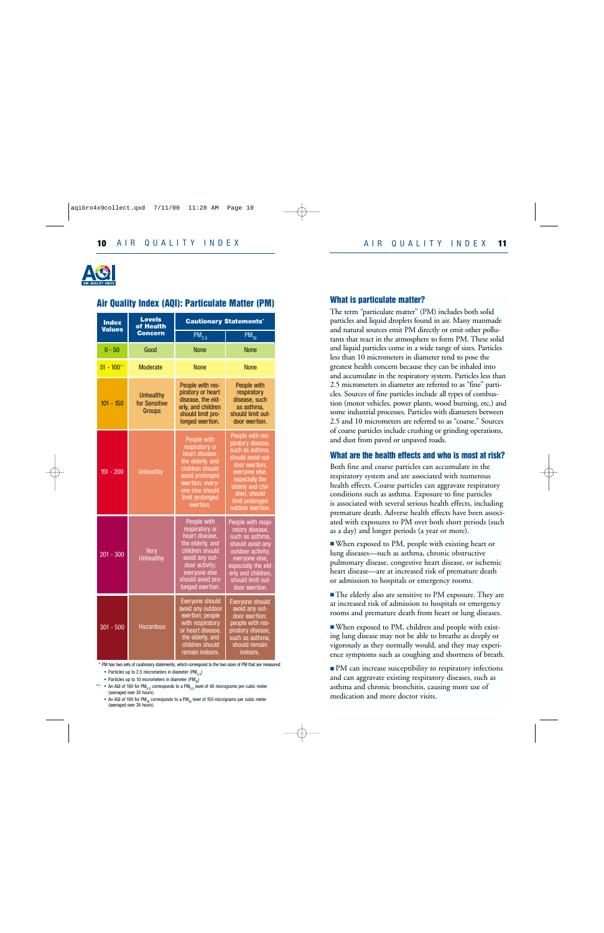

## Air Quality Index (AQI): Particulate Matter (PM)

| <b>Index</b>  | <b>Levels</b><br>of Health                  | <b>Cautionary Statements*</b>                                                                                                                                                        |                                                                                                                                                                                                                  |  |
|---------------|---------------------------------------------|--------------------------------------------------------------------------------------------------------------------------------------------------------------------------------------|------------------------------------------------------------------------------------------------------------------------------------------------------------------------------------------------------------------|--|
| <b>Values</b> | <b>Concern</b>                              | $PM_{2.5}$                                                                                                                                                                           | $PM_{10}$                                                                                                                                                                                                        |  |
| $0 - 50$      | Good                                        | <b>None</b>                                                                                                                                                                          | <b>None</b>                                                                                                                                                                                                      |  |
| $51 - 100**$  | <b>Moderate</b>                             | <b>None</b>                                                                                                                                                                          | <b>None</b>                                                                                                                                                                                                      |  |
| $101 - 150$   | <b>Unhealthy</b><br>for Sensitive<br>Groups | People with res-<br>piratory or heart<br>disease, the eld-<br>erly, and children<br>should limit pro-<br>longed exertion.                                                            | People with<br>respiratory<br>disease, such<br>as asthma.<br>should limit out-<br>door exertion.                                                                                                                 |  |
| $151 - 200$   | <b>Unhealthy</b>                            | People with<br>respiratory or<br>heart disease,<br>the elderly, and<br>children should<br>avoid prolonged<br>exertion; every-<br>one else should<br>limit prolonged<br>exertion.     | People with res-<br>piratory disease,<br>such as asthma,<br>should avoid out-<br>door exertion:<br>everyone else,<br>especially the<br>elderly and chil-<br>dren, should<br>limit prolonged<br>outdoor exertion. |  |
| $201 - 300$   | Very<br><b>Unhealthy</b>                    | People with<br>respiratory or<br>heart disease,<br>the elderly, and<br>children should<br>avoid any out-<br>door activity;<br>everyone else<br>should avoid pro-<br>longed exertion. | People with respi-<br>ratory disease,<br>such as asthma.<br>should avoid any<br>outdoor activity;<br>everyone else,<br>especially the eld-<br>erly and children.<br>should limit out-<br>door exertion.          |  |
| $301 - 500$   | <b>Hazardous</b>                            | Everyone should<br>avoid any outdoor<br>exertion; people<br>with respiratory<br>or heart disease,<br>the elderly, and<br>children should<br>remain indoors.                          | Everyone should<br>avoid any out-<br>door exertion:<br>people with res-<br>piratory disease,<br>such as asthma,<br>should remain<br>indoors.                                                                     |  |

- \* PM has two sets of cautionary statements, which correspond to the two sizes of PM that are measured: • Particles up to 2.5 micrometers in diameter (PM<sub>2.5</sub>)
	- Particles up to 10 micrometers in diameter  $(PM_{10})$
- \*\* An AQI of 100 for PM<sub>2.5</sub> corresponds to a PM<sub>2.5</sub> level of 40 micrograms per cubic meter (averaged over 24 hours).
	- An AQI of 100 for  $PM_{10}$  corresponds to a  $PM_{10}$  level of 150 micrograms per cubic meter (averaged over 24 hours).

#### What is particulate matter?

The term "particulate matter" (PM) includes both solid particles and liquid droplets found in air. Many manmade and natural sources emit PM directly or emit other pollutants that react in the atmosphere to form PM. These solid and liquid particles come in a wide range of sizes. Particles less than 10 micrometers in diameter tend to pose the greatest health concern because they can be inhaled into and accumulate in the respiratory system. Particles less than 2.5 micrometers in diameter are referred to as "fine" particles. Sources of fine particles include all types of combustion (motor vehicles, power plants, wood burning, etc.) and some industrial processes. Particles with diameters between 2.5 and 10 micrometers are referred to as "coarse." Sources of coarse particles include crushing or grinding operations, and dust from paved or unpaved roads.

#### What are the health effects and who is most at risk?

Both fine and coarse particles can accumulate in the respiratory system and are associated with numerous health effects. Coarse particles can aggravate respiratory conditions such as asthma. Exposure to fine particles is associated with several serious health effects, including premature death. Adverse health effects have been associated with exposures to PM over both short periods (such as a day) and longer periods (a year or more).

■ When exposed to PM, people with existing heart or lung diseases—such as asthma, chronic obstructive pulmonary disease, congestive heart disease, or ischemic heart disease—are at increased risk of premature death or admission to hospitals or emergency rooms.

■ The elderly also are sensitive to PM exposure. They are at increased risk of admission to hospitals or emergency rooms and premature death from heart or lung diseases.

■ When exposed to PM, children and people with existing lung disease may not be able to breathe as deeply or vigorously as they normally would, and they may experience symptoms such as coughing and shortness of breath.

■ PM can increase susceptibility to respiratory infections and can aggravate existing respiratory diseases, such as asthma and chronic bronchitis, causing more use of medication and more doctor visits.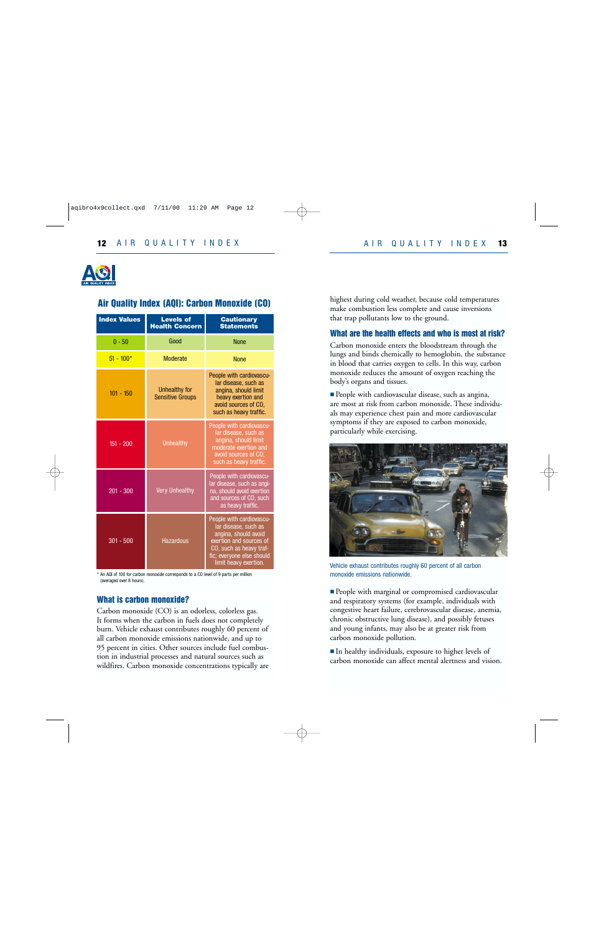

# Air Quality Index (AQI): Carbon Monoxide (CO)

| <b>Index Values</b> | <b>Levels of</b><br><b>Health Concern</b> | <b>Cautionary</b><br><b>Statements</b>                                                                                                                                               |
|---------------------|-------------------------------------------|--------------------------------------------------------------------------------------------------------------------------------------------------------------------------------------|
| $0 - 50$            | Good                                      | <b>None</b>                                                                                                                                                                          |
| $51 - 100*$         | <b>Moderate</b>                           | <b>None</b>                                                                                                                                                                          |
| $101 - 150$         | Unhealthy for<br><b>Sensitive Groups</b>  | People with cardiovascu-<br>lar disease, such as<br>angina, should limit<br>heavy exertion and<br>avoid sources of CO.<br>such as heavy traffic.                                     |
| $151 - 200$         | <b>Unhealthy</b>                          | People with cardiovascu-<br>lar disease, such as<br>angina, should limit<br>moderate exertion and<br>avoid sources of CO.<br>such as heavy traffic.                                  |
| $201 - 300$         | <b>Very Unhealthy</b>                     | People with cardiovascu-<br>lar disease, such as angi-<br>na. should avoid exertion<br>and sources of CO, such<br>as heavy traffic.                                                  |
| $301 - 500$         | <b>Hazardous</b>                          | People with cardiovascu-<br>lar disease, such as<br>angina, should avoid<br>exertion and sources of<br>CO, such as heavy traf-<br>fic; everyone else should<br>limit heavy exertion. |

\* An AQI of 100 for carbon monoxide corresponds to a CO level of 9 parts per million (averaged over 8 hours).

#### What is carbon monoxide?

Carbon monoxide (CO) is an odorless, colorless gas. It forms when the carbon in fuels does not completely burn. Vehicle exhaust contributes roughly 60 percent of all carbon monoxide emissions nationwide, and up to 95 percent in cities. Other sources include fuel combustion in industrial processes and natural sources such as wildfires. Carbon monoxide concentrations typically are

highest during cold weather, because cold temperatures make combustion less complete and cause inversions that trap pollutants low to the ground.

#### What are the health effects and who is most at risk?

Carbon monoxide enters the bloodstream through the lungs and binds chemically to hemoglobin, the substance in blood that carries oxygen to cells. In this way, carbon monoxide reduces the amount of oxygen reaching the body's organs and tissues.

■ People with cardiovascular disease, such as angina, are most at risk from carbon monoxide. These individuals may experience chest pain and more cardiovascular symptoms if they are exposed to carbon monoxide, particularly while exercising.



Vehicle exhaust contributes roughly 60 percent of all carbon monoxide emissions nationwide.

■ People with marginal or compromised cardiovascular and respiratory systems (for example, individuals with congestive heart failure, cerebrovascular disease, anemia, chronic obstructive lung disease), and possibly fetuses and young infants, may also be at greater risk from carbon monoxide pollution.

■ In healthy individuals, exposure to higher levels of carbon monoxide can affect mental alertness and vision.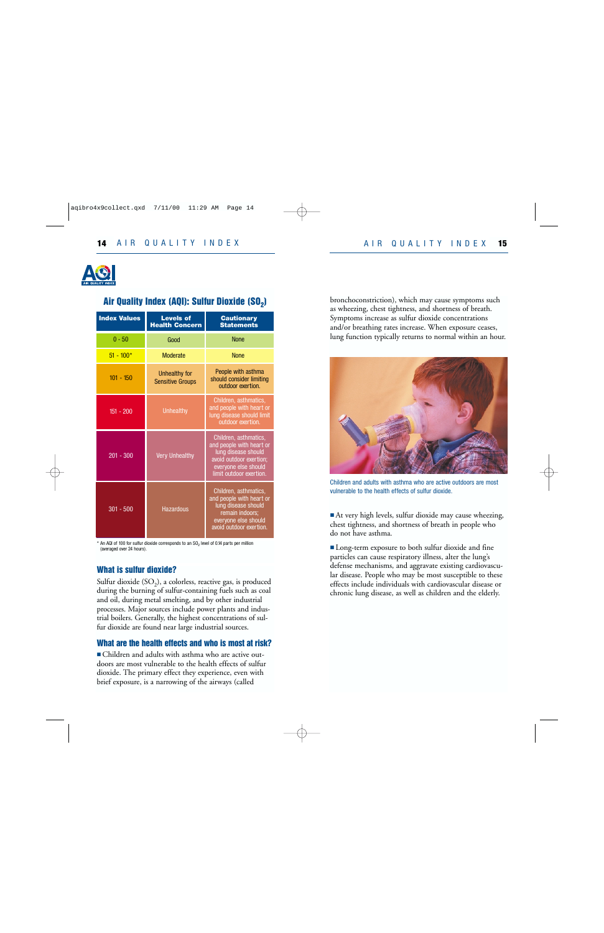

# Air Quality Index (AQI): Sulfur Dioxide (SO<sub>2</sub>)

| <b>Index Values</b> | <b>Levels of</b><br><b>Health Concern</b> | <b>Cautionary</b><br><b>Statements</b>                                                                                                                 |
|---------------------|-------------------------------------------|--------------------------------------------------------------------------------------------------------------------------------------------------------|
| $0 - 50$            | Good                                      | <b>None</b>                                                                                                                                            |
| $51 - 100*$         | <b>Moderate</b>                           | <b>None</b>                                                                                                                                            |
| $101 - 150$         | Unhealthy for<br><b>Sensitive Groups</b>  | People with asthma<br>should consider limiting<br>outdoor exertion.                                                                                    |
| $151 - 200$         | Unhealthy                                 | Children, asthmatics,<br>and people with heart or<br>lung disease should limit<br>outdoor exertion.                                                    |
| $201 - 300$         | <b>Very Unhealthy</b>                     | Children, asthmatics,<br>and people with heart or<br>lung disease should<br>avoid outdoor exertion;<br>everyone else should<br>limit outdoor exertion. |
| $301 - 500$         | <b>Hazardous</b>                          | Children, asthmatics,<br>and people with heart or<br>lung disease should<br>remain indoors;<br>everyone else should<br>avoid outdoor exertion.         |

 $*$  An AQI of 100 for sulfur dioxide corresponds to an SO<sub>2</sub> level of 0.14 parts per million (averaged over 24 hours).

#### What is sulfur dioxide?

Sulfur dioxide  $(SO<sub>2</sub>)$ , a colorless, reactive gas, is produced during the burning of sulfur-containing fuels such as coal and oil, during metal smelting, and by other industrial processes. Major sources include power plants and industrial boilers. Generally, the highest concentrations of sulfur dioxide are found near large industrial sources.

#### What are the health effects and who is most at risk?

■ Children and adults with asthma who are active outdoors are most vulnerable to the health effects of sulfur dioxide. The primary effect they experience, even with brief exposure, is a narrowing of the airways (called

bronchoconstriction), which may cause symptoms such as wheezing, chest tightness, and shortness of breath. Symptoms increase as sulfur dioxide concentrations and/or breathing rates increase. When exposure ceases, lung function typically returns to normal within an hour.



Children and adults with asthma who are active outdoors are most vulnerable to the health effects of sulfur dioxide.

■ At very high levels, sulfur dioxide may cause wheezing, chest tightness, and shortness of breath in people who do not have asthma.

■ Long-term exposure to both sulfur dioxide and fine particles can cause respiratory illness, alter the lung's defense mechanisms, and aggravate existing cardiovascular disease. People who may be most susceptible to these effects include individuals with cardiovascular disease or chronic lung disease, as well as children and the elderly.